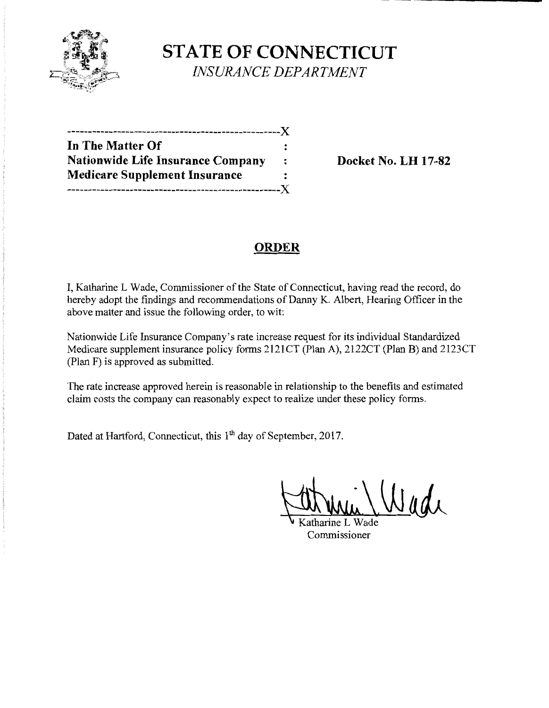

**STATE OF CONNECTICUT**  *INSURANCE DEPARTMENT* 

| In The Matter Of                         |         |
|------------------------------------------|---------|
| <b>Nationwide Life Insurance Company</b> | $\cdot$ |
| <b>Medicare Supplement Insurance</b>     |         |
|                                          |         |

**Nationwide Life Insurance Company Docket** No. **LH 17-82** 

# **ORDER**

I, Katharine L Wade, Commissioner of the State of Connecticut, having read the record, do hereby adopt the findings and recommendations of Danny K. Albert, Hearing Officer in the above matter and issue the following order, to wit:

Nationwide Life Insurance Company's rate increase request for its individual Standardized Medicare supplement insurance policy forms 2121CT (Plan A), 2122CT (Plan B) and 2123CT (Plan F) is approved as submitted.

The rate increase approved herein is reasonable in relationship to the benefits and estimated claim costs the company can reasonably expect to realize under these policy forms.

Dated at Hartford, Connecticut, this 1<sup>th</sup> day of September, 2017.

Commissioner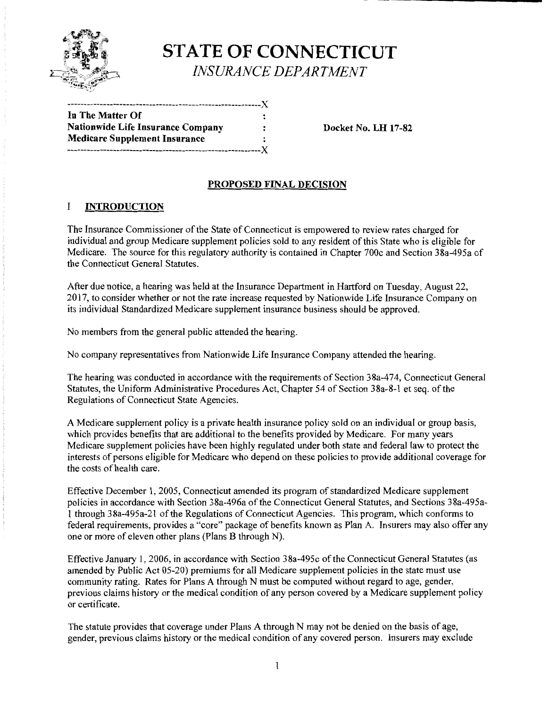

# **STATE OF CONNECTICUT** *INSURANCE DEPARTMENT*

| In The Matter Of                         | : |
|------------------------------------------|---|
| <b>Nationwide Life Insurance Company</b> |   |
| <b>Medicare Supplement Insurance</b>     | ะ |
|                                          |   |

**Nationwide Life Insurance Company Docket** No. **LH 17-82** 

## **PROPOSED FINAL DECISION**

#### I **INTRODUCTION**

The Insurance Commissioner of the State of Connecticut is empowered to review rates charged for individual and group Medicare supplement policies sold to any resident of this State who is eligible for Medicare. The source for this regulatory authority is contained in Chapter 700c and Section 38a-495a of the Connecticut General Statutes.

After due notice, a hearing was held at the Insurance Department in Hartford on Tuesday, August 22, 2017, to consider whether or not the rate increase requested by Nationwide Life Insurance Company on its individual Standardized Medicare supplement insurance business should be approved.

No members from the general public attended the hearing.

No company representatives from Nationwide Life Insurance Company attended the hearing.

The hearing was conducted in accordance with the requirements of Section 38a-474, Connecticut General Statutes, the Uniform Administrative Procedures Act, Chapter 54 of Section 38a-8-1 et seq. of the Regulations of Connecticut State Agencies.

A Medicare supplement policy is a private health insurance policy sold on an individual or group basis, which provides benefits that are additional to the benefits provided by Medicare. For many years Medicare supplement policies have been highly regulated under both state and federal law to protect the interests of persons eligible for Medicare who depend on these policies to provide additional coverage for the costs of health care.

Effective December 1, 2005, Connecticut amended its program of standardized Medicare supplement policies in accordance with Section 38a-496a of the Connecticut General Statutes, and Sections 38a-495a-1 through 38a-495a-21 of the Regulations of Connecticut Agencies. This program, which conforms to federal requirements, provides a "core" package of benefits known as Plan A. Insurers may also offer any one or more of eleven other plans (Plans B through N).

Effective January 1, 2006, in accordance with Section 38a-495c ofthe Connecticut General Statutes (as amended by Public Act 05-20) premiums for all Medicare supplement policies in the state must use community rating. Rates for Plans A through N must be computed without regard to age, gender, previous claims history or the medical condition of any person covered by a Medicare supplement policy or certificate.

The statute provides that coverage under Plans A through N may not be denied on the basis of age, gender, previous claims history or the medical condition of any covered person. Insurers may exclude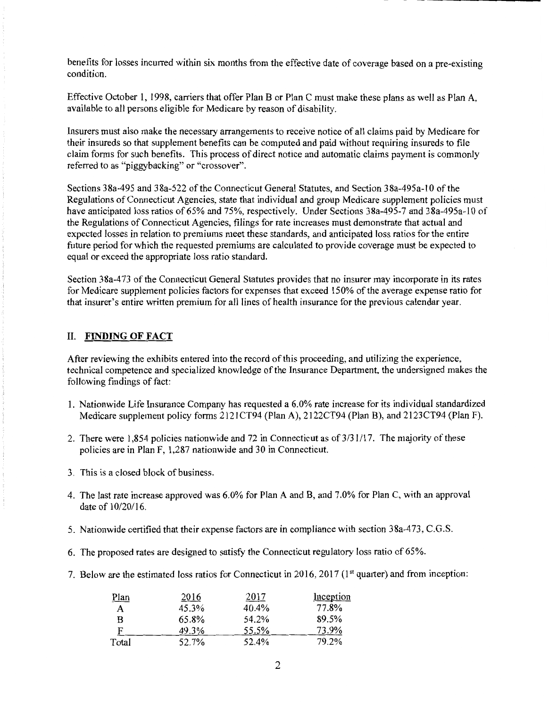benefits for losses incurred within six months from the effective date of coverage based on a pre-existing condition.

Effective October I, 1998, carriers that offer Plan B or Plan C must make these plans as well as Plan A, available to all persons eligible for Medicare by reason of disability.

Insurers must also make the necessary arrangements to receive notice of all claims paid by Medicare for their insureds so that supplement benefits can be computed and paid without requiring insureds to file claim forms for such benefits. This process of direct notice and automatic claims payment is commonly referred to as "piggybacking" or "crossover".

Sections 38a-495 and 38a-522 of the Connecticut General Statutes, and Section 38a-495a-10 of the Regulations of Connecticut Agencies, state that individual and group Medicare supplement policies must have anticipated loss ratios of 65% and 75%, respectively. Under Sections 38a-495-7 and 38a-495a-10 of the Regulations of Connecticut Agencies, filings for rate increases must demonstrate that actual and expected losses in relation to premiums meet these standards, and anticipated loss ratios for the entire future period for which the requested premiums are calculated to provide coverage must be expected to equal or exceed the appropriate loss ratio standard.

Section 38a-473 of the Connecticut General Statutes provides that no insurer may incorporate in its rates for Medicare supplement policies factors for expenses that exceed 150% of the average expense ratio for that insurer's entire written premium for all lines of health insurance for the previous calendar year.

### II. FINDING OF FACT

After reviewing the exhibits entered into the record ofthis proceeding, and utilizing the experience, technical competence and specialized knowledge of the Insurance Department, the undersigned makes the following findings of fact:

- I. Nationwide Life Insurance Company has requested a 6.0% rate increase for its individual standardized Medicare supplement policy forms 2I2ICT94 (Plan A), 2I22CT94 (Plan B), and 2I23CT94 (Plan F).
- 2. There were 1,854 policies nationwide and 72 in Connecticut as of 3/31/17. The majority of these policies are in Plan F, 1,287 nationwide and 30 in Connecticut.
- 3. This is a closed block of business.
- 4. The last rate increase approved was 6.0% for Plan A and B, and 7.0% for Plan C, with an approval date of 10/20/16.
- 5. Nationwide certified that their expense factors are in compliance with section 38a-473, C.G.S.
- 6. The proposed rates are designed to satisfy the Connecticut regulatory loss ratio of 65%.
- 7. Below are the estimated loss ratios for Connecticut in 2016, 2017 (1<sup>st</sup> quarter) and from inception:

| <u>Plan</u> | 2016  | 2017  | Inception |
|-------------|-------|-------|-----------|
| A           | 45.3% | 40.4% | 77.8%     |
| в           | 65.8% | 54.2% | 89.5%     |
| F           | 49.3% | 55.5% | 73.9%     |
| Total       | 52.7% | 52.4% | 79.2%     |